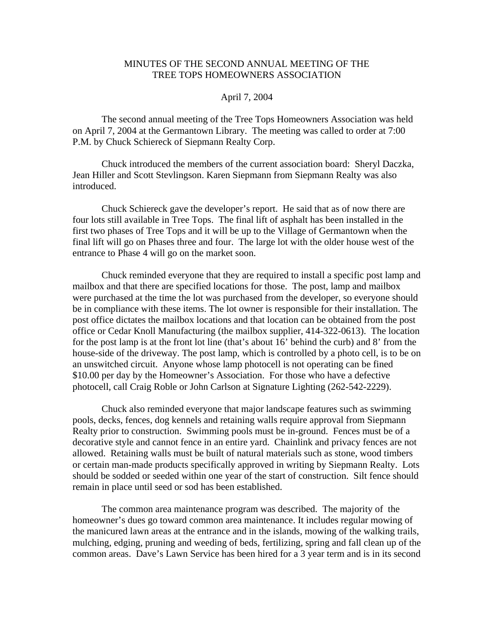## MINUTES OF THE SECOND ANNUAL MEETING OF THE TREE TOPS HOMEOWNERS ASSOCIATION

## April 7, 2004

 The second annual meeting of the Tree Tops Homeowners Association was held on April 7, 2004 at the Germantown Library. The meeting was called to order at 7:00 P.M. by Chuck Schiereck of Siepmann Realty Corp.

 Chuck introduced the members of the current association board: Sheryl Daczka, Jean Hiller and Scott Stevlingson. Karen Siepmann from Siepmann Realty was also introduced.

 Chuck Schiereck gave the developer's report. He said that as of now there are four lots still available in Tree Tops. The final lift of asphalt has been installed in the first two phases of Tree Tops and it will be up to the Village of Germantown when the final lift will go on Phases three and four. The large lot with the older house west of the entrance to Phase 4 will go on the market soon.

 Chuck reminded everyone that they are required to install a specific post lamp and mailbox and that there are specified locations for those. The post, lamp and mailbox were purchased at the time the lot was purchased from the developer, so everyone should be in compliance with these items. The lot owner is responsible for their installation. The post office dictates the mailbox locations and that location can be obtained from the post office or Cedar Knoll Manufacturing (the mailbox supplier, 414-322-0613). The location for the post lamp is at the front lot line (that's about 16' behind the curb) and 8' from the house-side of the driveway. The post lamp, which is controlled by a photo cell, is to be on an unswitched circuit. Anyone whose lamp photocell is not operating can be fined \$10.00 per day by the Homeowner's Association. For those who have a defective photocell, call Craig Roble or John Carlson at Signature Lighting (262-542-2229).

Chuck also reminded everyone that major landscape features such as swimming pools, decks, fences, dog kennels and retaining walls require approval from Siepmann Realty prior to construction. Swimming pools must be in-ground. Fences must be of a decorative style and cannot fence in an entire yard. Chainlink and privacy fences are not allowed. Retaining walls must be built of natural materials such as stone, wood timbers or certain man-made products specifically approved in writing by Siepmann Realty. Lots should be sodded or seeded within one year of the start of construction. Silt fence should remain in place until seed or sod has been established.

The common area maintenance program was described. The majority of the homeowner's dues go toward common area maintenance. It includes regular mowing of the manicured lawn areas at the entrance and in the islands, mowing of the walking trails, mulching, edging, pruning and weeding of beds, fertilizing, spring and fall clean up of the common areas. Dave's Lawn Service has been hired for a 3 year term and is in its second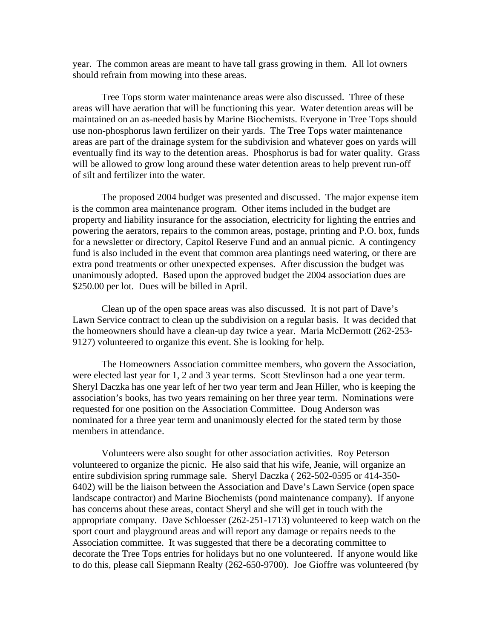year. The common areas are meant to have tall grass growing in them. All lot owners should refrain from mowing into these areas.

 Tree Tops storm water maintenance areas were also discussed. Three of these areas will have aeration that will be functioning this year. Water detention areas will be maintained on an as-needed basis by Marine Biochemists. Everyone in Tree Tops should use non-phosphorus lawn fertilizer on their yards. The Tree Tops water maintenance areas are part of the drainage system for the subdivision and whatever goes on yards will eventually find its way to the detention areas. Phosphorus is bad for water quality. Grass will be allowed to grow long around these water detention areas to help prevent run-off of silt and fertilizer into the water.

 The proposed 2004 budget was presented and discussed. The major expense item is the common area maintenance program. Other items included in the budget are property and liability insurance for the association, electricity for lighting the entries and powering the aerators, repairs to the common areas, postage, printing and P.O. box, funds for a newsletter or directory, Capitol Reserve Fund and an annual picnic. A contingency fund is also included in the event that common area plantings need watering, or there are extra pond treatments or other unexpected expenses. After discussion the budget was unanimously adopted. Based upon the approved budget the 2004 association dues are \$250.00 per lot. Dues will be billed in April.

 Clean up of the open space areas was also discussed. It is not part of Dave's Lawn Service contract to clean up the subdivision on a regular basis. It was decided that the homeowners should have a clean-up day twice a year. Maria McDermott (262-253- 9127) volunteered to organize this event. She is looking for help.

 The Homeowners Association committee members, who govern the Association, were elected last year for 1, 2 and 3 year terms. Scott Stevlinson had a one year term. Sheryl Daczka has one year left of her two year term and Jean Hiller, who is keeping the association's books, has two years remaining on her three year term. Nominations were requested for one position on the Association Committee. Doug Anderson was nominated for a three year term and unanimously elected for the stated term by those members in attendance.

 Volunteers were also sought for other association activities. Roy Peterson volunteered to organize the picnic. He also said that his wife, Jeanie, will organize an entire subdivision spring rummage sale. Sheryl Daczka ( 262-502-0595 or 414-350- 6402) will be the liaison between the Association and Dave's Lawn Service (open space landscape contractor) and Marine Biochemists (pond maintenance company). If anyone has concerns about these areas, contact Sheryl and she will get in touch with the appropriate company. Dave Schloesser (262-251-1713) volunteered to keep watch on the sport court and playground areas and will report any damage or repairs needs to the Association committee. It was suggested that there be a decorating committee to decorate the Tree Tops entries for holidays but no one volunteered. If anyone would like to do this, please call Siepmann Realty (262-650-9700). Joe Gioffre was volunteered (by